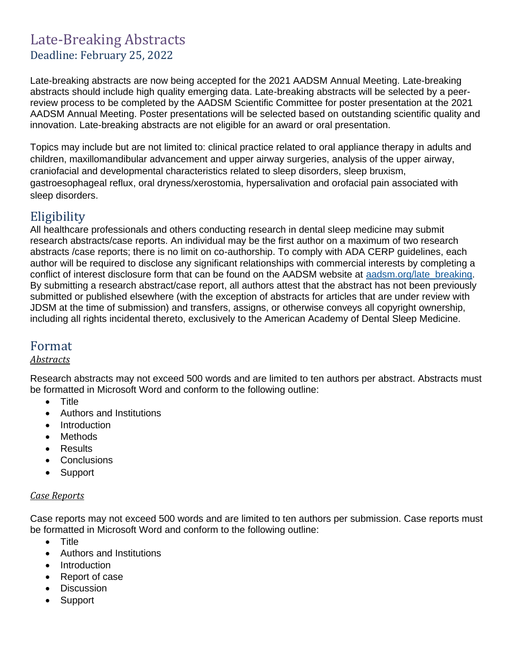# Late-Breaking Abstracts Deadline: February 25, 2022

Late-breaking abstracts are now being accepted for the 2021 AADSM Annual Meeting. Late-breaking abstracts should include high quality emerging data. Late-breaking abstracts will be selected by a peerreview process to be completed by the AADSM Scientific Committee for poster presentation at the 2021 AADSM Annual Meeting. Poster presentations will be selected based on outstanding scientific quality and innovation. Late-breaking abstracts are not eligible for an award or oral presentation.

Topics may include but are not limited to: clinical practice related to oral appliance therapy in adults and children, maxillomandibular advancement and upper airway surgeries, analysis of the upper airway, craniofacial and developmental characteristics related to sleep disorders, sleep bruxism, gastroesophageal reflux, oral dryness/xerostomia, hypersalivation and orofacial pain associated with sleep disorders.

## Eligibility

All healthcare professionals and others conducting research in dental sleep medicine may submit research abstracts/case reports. An individual may be the first author on a maximum of two research abstracts /case reports; there is no limit on co-authorship. To comply with ADA CERP guidelines, each author will be required to disclose any significant relationships with commercial interests by completing a conflict of interest disclosure form that can be found on the AADSM website at [aadsm.org/late\\_breaking.](http://www.aadsm.org/late_breaking) By submitting a research abstract/case report, all authors attest that the abstract has not been previously submitted or published elsewhere (with the exception of abstracts for articles that are under review with JDSM at the time of submission) and transfers, assigns, or otherwise conveys all copyright ownership, including all rights incidental thereto, exclusively to the American Academy of Dental Sleep Medicine.

### Format

#### *Abstracts*

Research abstracts may not exceed 500 words and are limited to ten authors per abstract. Abstracts must be formatted in Microsoft Word and conform to the following outline:

- Title
- Authors and Institutions
- Introduction
- Methods
- Results
- Conclusions
- Support

#### *Case Reports*

Case reports may not exceed 500 words and are limited to ten authors per submission. Case reports must be formatted in Microsoft Word and conform to the following outline:

- Title
- Authors and Institutions
- Introduction
- Report of case
- Discussion
- **Support**